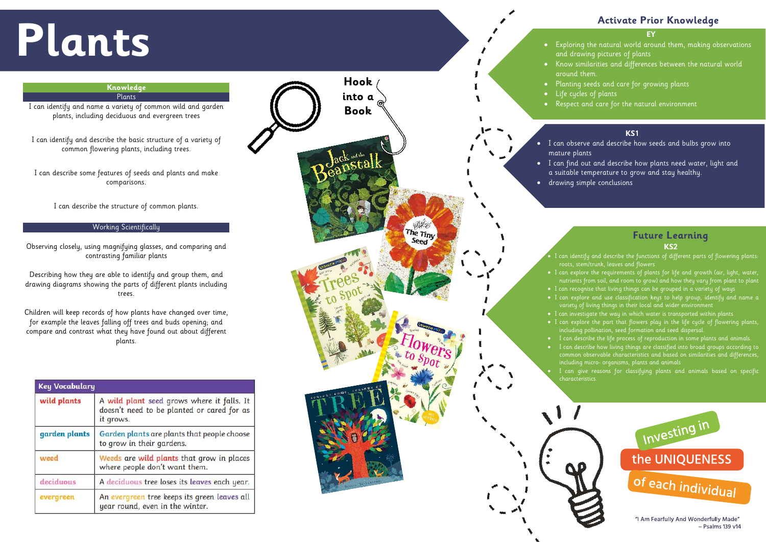# **Plants**

# **EY**

- 
- 
- 
- 
- 

- 
- 
- 

- 
- 
- 
- 
- 
- 
- 
- 

- Psalms 139 v14

# **Activate Prior Knowledge**



# **Knowledge** Plants

I can identify and name a variety of common wild and garden plants, including deciduous and evergreen trees

I can identify and describe the basic structure of a variety of common flowering plants, including trees.

I can describe some features of seeds and plants and make comparisons.

I can describe the structure of common plants.

# Working Scientifically

Observing closely, using magnifying glasses, and comparing and contrasting familiar plants

Describing how they are able to identify and group them, and drawing diagrams showing the parts of different plants including trees.

Children will keep records of how plants have changed over time, for example the leaves falling off trees and buds opening; and compare and contrast what they have found out about different plants.

| <b>Key Vocabulary</b> |                                                                                                       |
|-----------------------|-------------------------------------------------------------------------------------------------------|
| wild plants           | A wild plant seed grows where it falls. It<br>doesn't need to be planted or cared for as<br>it grows. |
| garden plants         | Garden plants are plants that people choose<br>to grow in their gardens.                              |
| weed                  | Weeds are wild plants that grow in places<br>where people don't want them.                            |
| deciduous             | A deciduous tree loses its leaves each year.                                                          |
| evergreen             | An evergreen tree keeps its green leaves all<br>year round, even in the winter.                       |